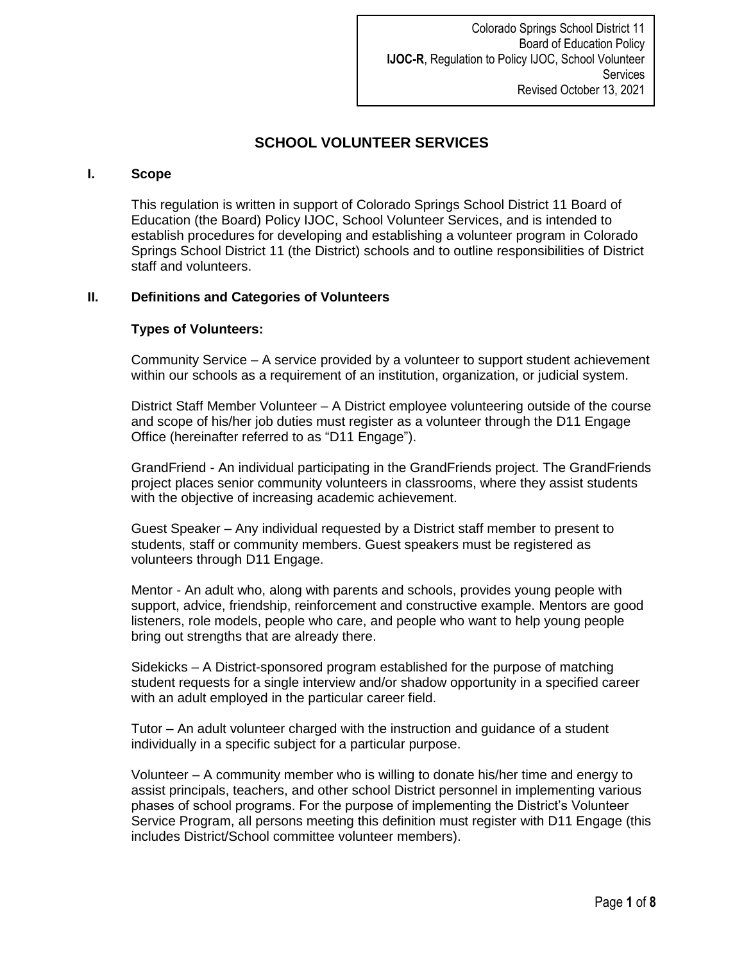Colorado Springs School District 11 Board of Education Policy **IJOC-R**, Regulation to Policy IJOC, School Volunteer **Services** Revised October 13, 2021

# **SCHOOL VOLUNTEER SERVICES**

### **I. Scope**

This regulation is written in support of Colorado Springs School District 11 Board of Education (the Board) Policy IJOC, School Volunteer Services, and is intended to establish procedures for developing and establishing a volunteer program in Colorado Springs School District 11 (the District) schools and to outline responsibilities of District staff and volunteers.

### **II. Definitions and Categories of Volunteers**

### **Types of Volunteers:**

Community Service – A service provided by a volunteer to support student achievement within our schools as a requirement of an institution, organization, or judicial system.

District Staff Member Volunteer – A District employee volunteering outside of the course and scope of his/her job duties must register as a volunteer through the D11 Engage Office (hereinafter referred to as "D11 Engage").

GrandFriend - An individual participating in the GrandFriends project. The GrandFriends project places senior community volunteers in classrooms, where they assist students with the objective of increasing academic achievement.

Guest Speaker – Any individual requested by a District staff member to present to students, staff or community members. Guest speakers must be registered as volunteers through D11 Engage.

Mentor - An adult who, along with parents and schools, provides young people with support, advice, friendship, reinforcement and constructive example. Mentors are good listeners, role models, people who care, and people who want to help young people bring out strengths that are already there.

Sidekicks – A District-sponsored program established for the purpose of matching student requests for a single interview and/or shadow opportunity in a specified career with an adult employed in the particular career field.

Tutor – An adult volunteer charged with the instruction and guidance of a student individually in a specific subject for a particular purpose.

Volunteer – A community member who is willing to donate his/her time and energy to assist principals, teachers, and other school District personnel in implementing various phases of school programs. For the purpose of implementing the District's Volunteer Service Program, all persons meeting this definition must register with D11 Engage (this includes District/School committee volunteer members).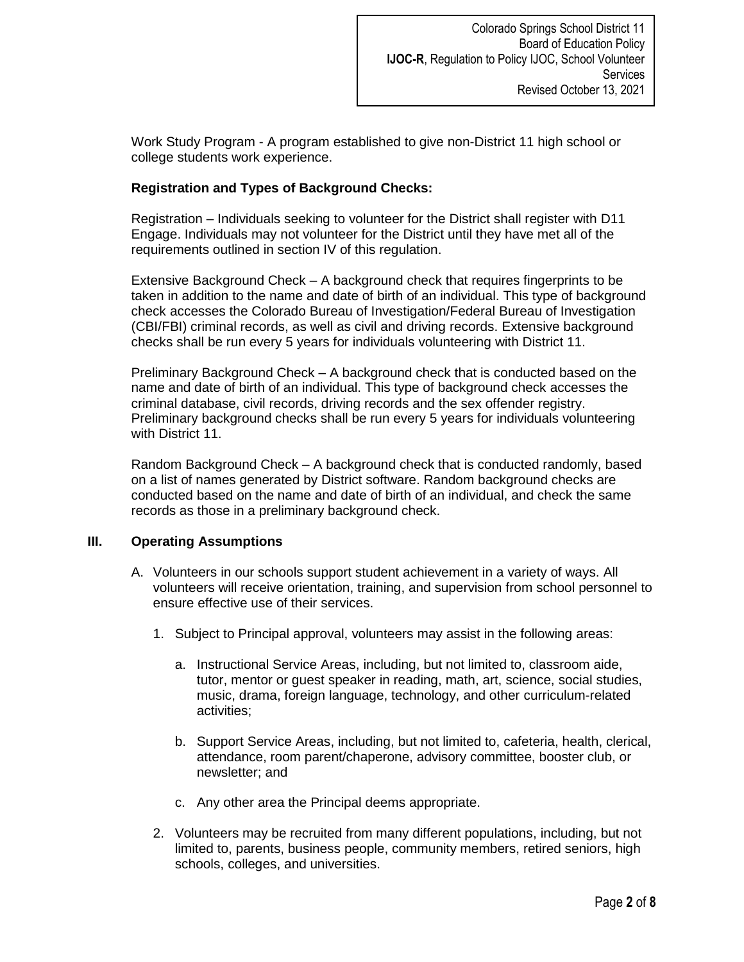Work Study Program - A program established to give non-District 11 high school or college students work experience.

# **Registration and Types of Background Checks:**

Registration – Individuals seeking to volunteer for the District shall register with D11 Engage. Individuals may not volunteer for the District until they have met all of the requirements outlined in section IV of this regulation.

Extensive Background Check – A background check that requires fingerprints to be taken in addition to the name and date of birth of an individual. This type of background check accesses the Colorado Bureau of Investigation/Federal Bureau of Investigation (CBI/FBI) criminal records, as well as civil and driving records. Extensive background checks shall be run every 5 years for individuals volunteering with District 11.

Preliminary Background Check – A background check that is conducted based on the name and date of birth of an individual. This type of background check accesses the criminal database, civil records, driving records and the sex offender registry. Preliminary background checks shall be run every 5 years for individuals volunteering with District 11.

Random Background Check – A background check that is conducted randomly, based on a list of names generated by District software. Random background checks are conducted based on the name and date of birth of an individual, and check the same records as those in a preliminary background check.

## **III. Operating Assumptions**

- A. Volunteers in our schools support student achievement in a variety of ways. All volunteers will receive orientation, training, and supervision from school personnel to ensure effective use of their services.
	- 1. Subject to Principal approval, volunteers may assist in the following areas:
		- a. Instructional Service Areas, including, but not limited to, classroom aide, tutor, mentor or guest speaker in reading, math, art, science, social studies, music, drama, foreign language, technology, and other curriculum-related activities;
		- b. Support Service Areas, including, but not limited to, cafeteria, health, clerical, attendance, room parent/chaperone, advisory committee, booster club, or newsletter; and
		- c. Any other area the Principal deems appropriate.
	- 2. Volunteers may be recruited from many different populations, including, but not limited to, parents, business people, community members, retired seniors, high schools, colleges, and universities.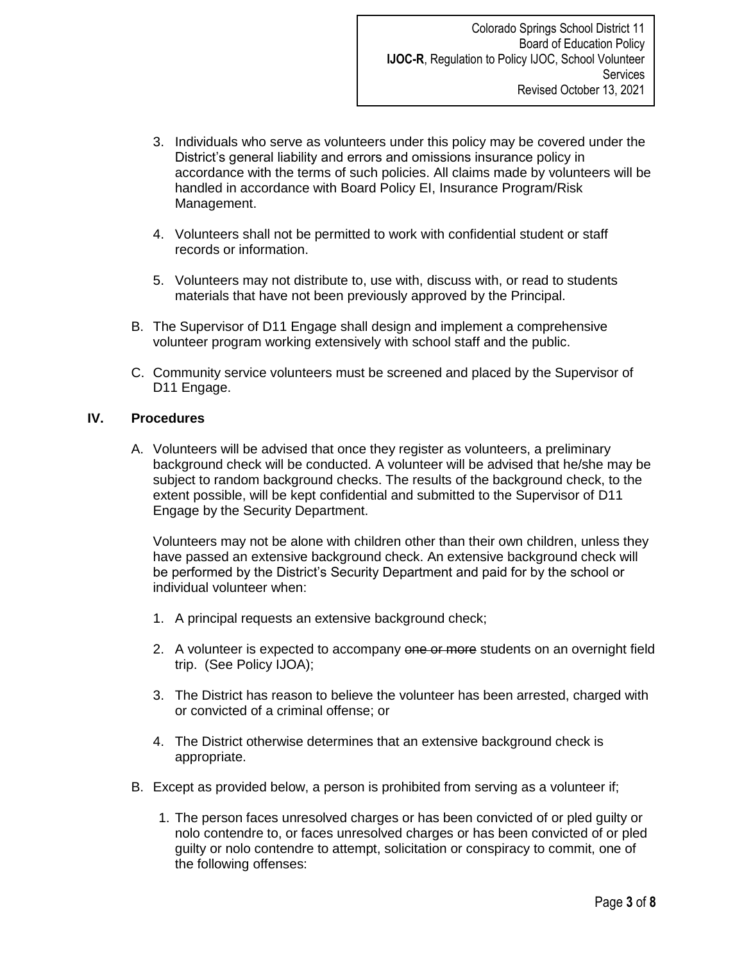- 3. Individuals who serve as volunteers under this policy may be covered under the District's general liability and errors and omissions insurance policy in accordance with the terms of such policies. All claims made by volunteers will be handled in accordance with Board Policy EI, Insurance Program/Risk Management.
- 4. Volunteers shall not be permitted to work with confidential student or staff records or information.
- 5. Volunteers may not distribute to, use with, discuss with, or read to students materials that have not been previously approved by the Principal.
- B. The Supervisor of D11 Engage shall design and implement a comprehensive volunteer program working extensively with school staff and the public.
- C. Community service volunteers must be screened and placed by the Supervisor of D11 Engage.

### **IV. Procedures**

A. Volunteers will be advised that once they register as volunteers, a preliminary background check will be conducted. A volunteer will be advised that he/she may be subject to random background checks. The results of the background check, to the extent possible, will be kept confidential and submitted to the Supervisor of D11 Engage by the Security Department.

Volunteers may not be alone with children other than their own children, unless they have passed an extensive background check. An extensive background check will be performed by the District's Security Department and paid for by the school or individual volunteer when:

- 1. A principal requests an extensive background check;
- 2. A volunteer is expected to accompany one or more students on an overnight field trip. (See Policy IJOA);
- 3. The District has reason to believe the volunteer has been arrested, charged with or convicted of a criminal offense; or
- 4. The District otherwise determines that an extensive background check is appropriate.
- B. Except as provided below, a person is prohibited from serving as a volunteer if;
	- 1. The person faces unresolved charges or has been convicted of or pled guilty or nolo contendre to, or faces unresolved charges or has been convicted of or pled guilty or nolo contendre to attempt, solicitation or conspiracy to commit, one of the following offenses: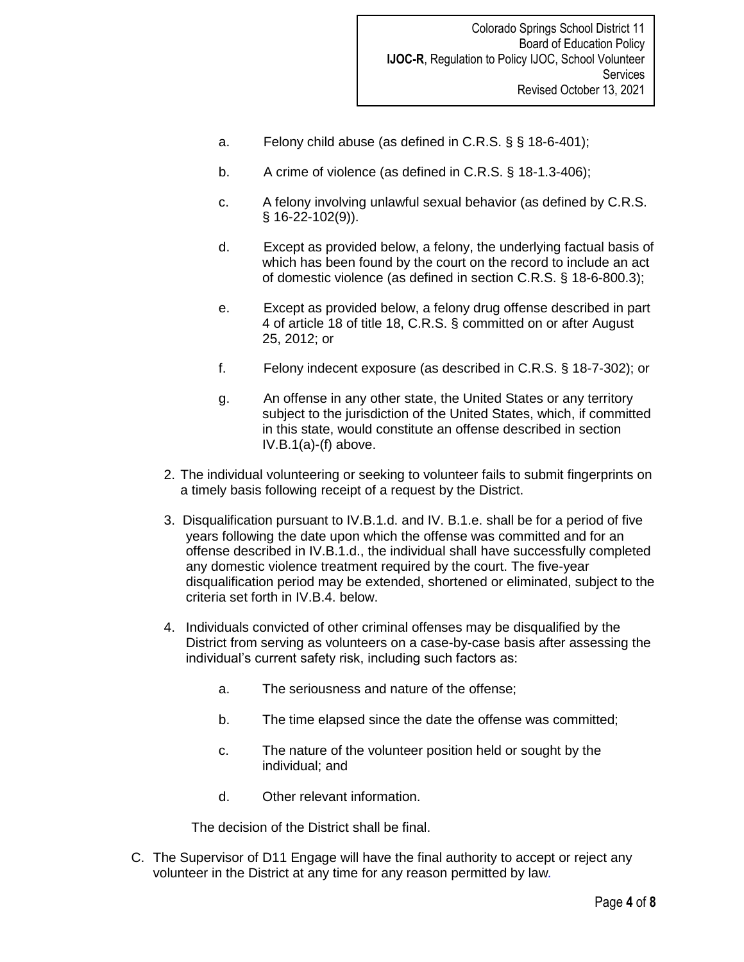- a. Felony child abuse (as defined in C.R.S. § § 18-6-401);
- b. A crime of violence (as defined in C.R.S. § 18-1.3-406);
- c. A felony involving unlawful sexual behavior (as defined by C.R.S. § 16-22-102(9)).
- d. Except as provided below, a felony, the underlying factual basis of which has been found by the court on the record to include an act of domestic violence (as defined in section C.R.S. § 18-6-800.3);
- e. Except as provided below, a felony drug offense described in part 4 of article 18 of title 18, C.R.S. § committed on or after August 25, 2012; or
- f. Felony indecent exposure (as described in C.R.S. § 18-7-302); or
- g. An offense in any other state, the United States or any territory subject to the jurisdiction of the United States, which, if committed in this state, would constitute an offense described in section IV.B.1(a)-(f) above.
- 2. The individual volunteering or seeking to volunteer fails to submit fingerprints on a timely basis following receipt of a request by the District.
- 3. Disqualification pursuant to IV.B.1.d. and IV. B.1.e. shall be for a period of five years following the date upon which the offense was committed and for an offense described in IV.B.1.d., the individual shall have successfully completed any domestic violence treatment required by the court. The five-year disqualification period may be extended, shortened or eliminated, subject to the criteria set forth in IV.B.4. below.
- 4. Individuals convicted of other criminal offenses may be disqualified by the District from serving as volunteers on a case-by-case basis after assessing the individual's current safety risk, including such factors as:
	- a. The seriousness and nature of the offense;
	- b. The time elapsed since the date the offense was committed;
	- c. The nature of the volunteer position held or sought by the individual; and
	- d. Other relevant information.

The decision of the District shall be final.

C. The Supervisor of D11 Engage will have the final authority to accept or reject any volunteer in the District at any time for any reason permitted by law*.*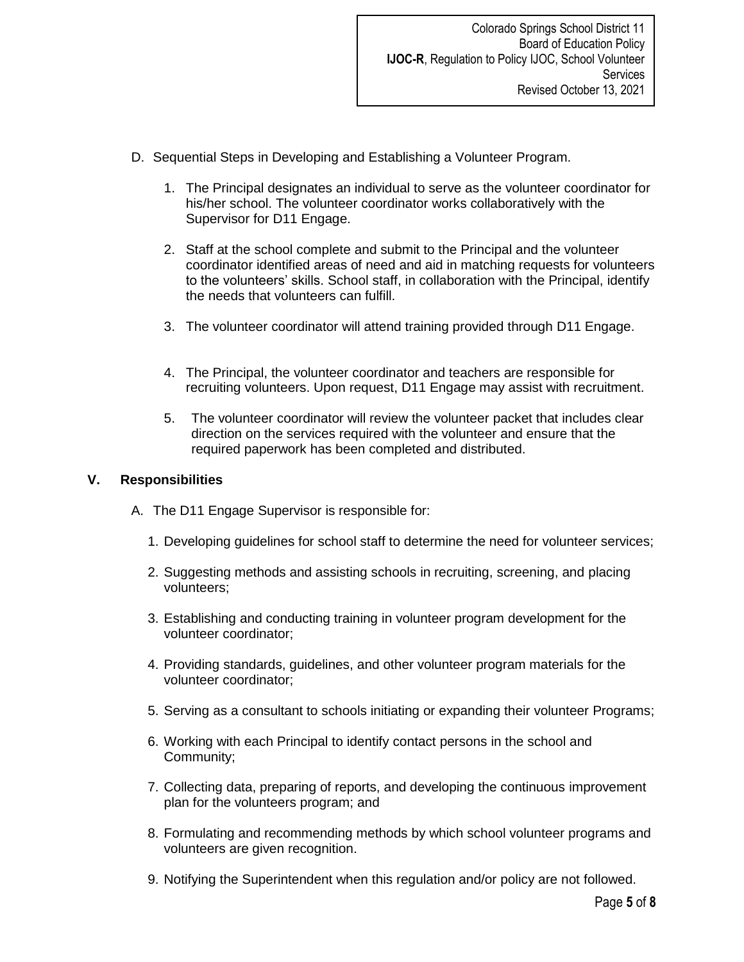- D. Sequential Steps in Developing and Establishing a Volunteer Program.
	- 1. The Principal designates an individual to serve as the volunteer coordinator for his/her school. The volunteer coordinator works collaboratively with the Supervisor for D11 Engage.
	- 2. Staff at the school complete and submit to the Principal and the volunteer coordinator identified areas of need and aid in matching requests for volunteers to the volunteers' skills. School staff, in collaboration with the Principal, identify the needs that volunteers can fulfill.
	- 3. The volunteer coordinator will attend training provided through D11 Engage.
	- 4. The Principal, the volunteer coordinator and teachers are responsible for recruiting volunteers. Upon request, D11 Engage may assist with recruitment.
	- 5. The volunteer coordinator will review the volunteer packet that includes clear direction on the services required with the volunteer and ensure that the required paperwork has been completed and distributed.

## **V. Responsibilities**

- A. The D11 Engage Supervisor is responsible for:
	- 1. Developing guidelines for school staff to determine the need for volunteer services;
	- 2. Suggesting methods and assisting schools in recruiting, screening, and placing volunteers;
	- 3. Establishing and conducting training in volunteer program development for the volunteer coordinator;
	- 4. Providing standards, guidelines, and other volunteer program materials for the volunteer coordinator;
	- 5. Serving as a consultant to schools initiating or expanding their volunteer Programs;
	- 6. Working with each Principal to identify contact persons in the school and Community;
	- 7. Collecting data, preparing of reports, and developing the continuous improvement plan for the volunteers program; and
	- 8. Formulating and recommending methods by which school volunteer programs and volunteers are given recognition.
	- 9. Notifying the Superintendent when this regulation and/or policy are not followed.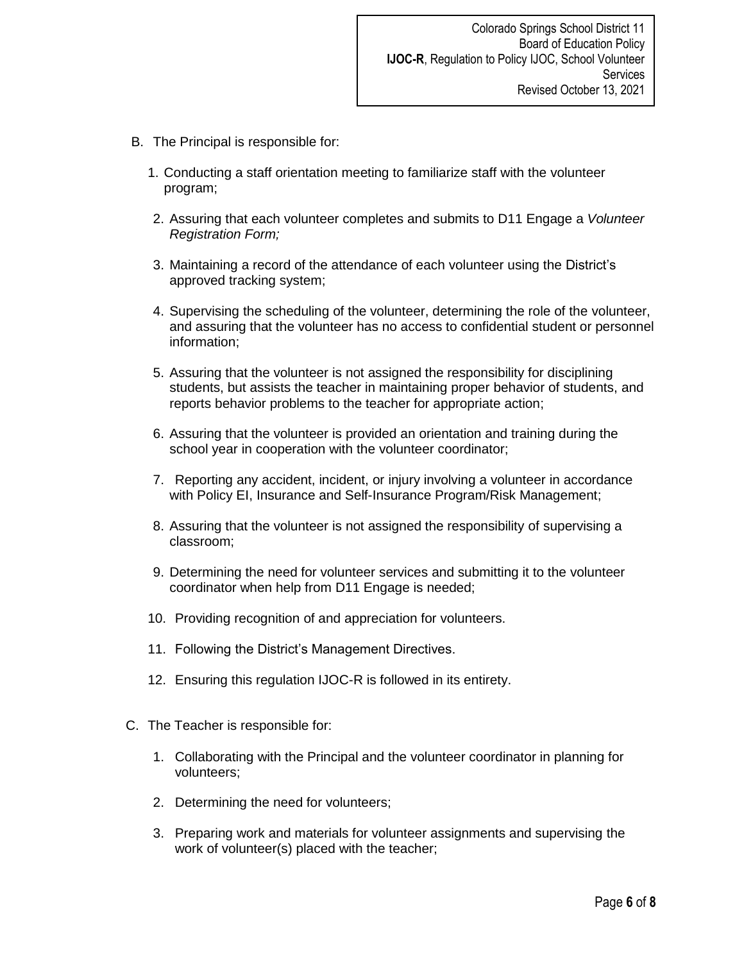- B. The Principal is responsible for:
	- 1. Conducting a staff orientation meeting to familiarize staff with the volunteer program;
	- 2. Assuring that each volunteer completes and submits to D11 Engage a *Volunteer Registration Form;*
	- 3. Maintaining a record of the attendance of each volunteer using the District's approved tracking system;
	- 4. Supervising the scheduling of the volunteer, determining the role of the volunteer, and assuring that the volunteer has no access to confidential student or personnel information;
	- 5. Assuring that the volunteer is not assigned the responsibility for disciplining students, but assists the teacher in maintaining proper behavior of students, and reports behavior problems to the teacher for appropriate action;
	- 6. Assuring that the volunteer is provided an orientation and training during the school year in cooperation with the volunteer coordinator;
	- 7. Reporting any accident, incident, or injury involving a volunteer in accordance with Policy EI, Insurance and Self-Insurance Program/Risk Management;
	- 8. Assuring that the volunteer is not assigned the responsibility of supervising a classroom;
	- 9. Determining the need for volunteer services and submitting it to the volunteer coordinator when help from D11 Engage is needed;
	- 10. Providing recognition of and appreciation for volunteers.
	- 11. Following the District's Management Directives.
	- 12. Ensuring this regulation IJOC-R is followed in its entirety.
- C. The Teacher is responsible for:
	- 1. Collaborating with the Principal and the volunteer coordinator in planning for volunteers;
	- 2. Determining the need for volunteers;
	- 3. Preparing work and materials for volunteer assignments and supervising the work of volunteer(s) placed with the teacher;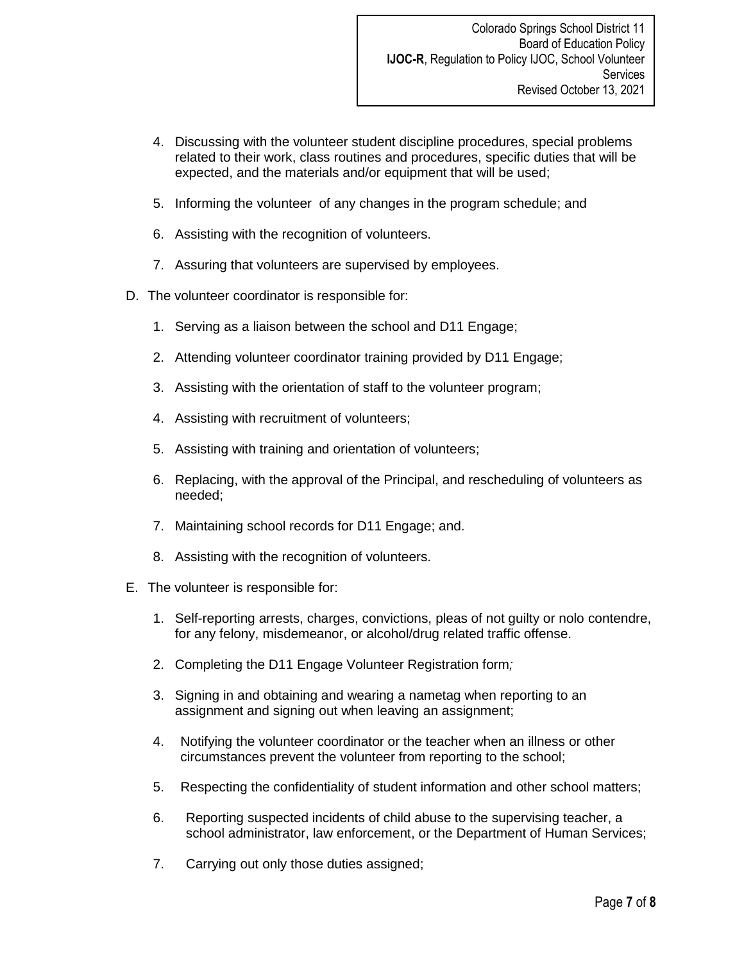- 4. Discussing with the volunteer student discipline procedures, special problems related to their work, class routines and procedures, specific duties that will be expected, and the materials and/or equipment that will be used;
- 5. Informing the volunteer of any changes in the program schedule; and
- 6. Assisting with the recognition of volunteers.
- 7. Assuring that volunteers are supervised by employees.
- D. The volunteer coordinator is responsible for:
	- 1. Serving as a liaison between the school and D11 Engage;
	- 2. Attending volunteer coordinator training provided by D11 Engage;
	- 3. Assisting with the orientation of staff to the volunteer program;
	- 4. Assisting with recruitment of volunteers;
	- 5. Assisting with training and orientation of volunteers;
	- 6. Replacing, with the approval of the Principal, and rescheduling of volunteers as needed;
	- 7. Maintaining school records for D11 Engage; and.
	- 8. Assisting with the recognition of volunteers.
- E. The volunteer is responsible for:
	- 1. Self-reporting arrests, charges, convictions, pleas of not guilty or nolo contendre, for any felony, misdemeanor, or alcohol/drug related traffic offense.
	- 2. Completing the D11 Engage Volunteer Registration form*;*
	- 3. Signing in and obtaining and wearing a nametag when reporting to an assignment and signing out when leaving an assignment;
	- 4. Notifying the volunteer coordinator or the teacher when an illness or other circumstances prevent the volunteer from reporting to the school;
	- 5. Respecting the confidentiality of student information and other school matters;
	- 6. Reporting suspected incidents of child abuse to the supervising teacher, a school administrator, law enforcement, or the Department of Human Services;
	- 7. Carrying out only those duties assigned;